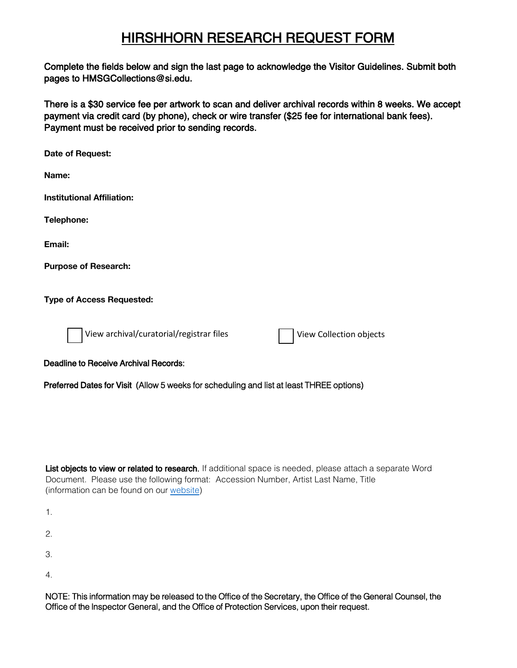## HIRSHHORN RESEARCH REQUEST FORM

Complete the fields below and sign the last page to acknowledge the Visitor Guidelines. Submit both pages to HMSGCollections@si.edu.

There is a \$30 service fee per artwork to scan and deliver archival records within 8 weeks. We accept payment via credit card (by phone), check or wire transfer (\$25 fee for international bank fees). Payment must be received prior to sending records.

**Date of Request: Name: Institutional Affiliation: Telephone: Email: Purpose of Research: Type of Access Requested:** View archival/curatorial/registrar files **View Collection objects** Deadline to Receive Archival Records: Preferred Dates for Visit (Allow 5 weeks for scheduling and list at least THREE options)

List objects to view or related to research. If additional space is needed, please attach a separate Word Document. Please use the following format: Accession Number, Artist Last Name, Title (information can be found on our [website\)](http://hirshhorn.si.edu/collection/home/#collection=collection-search) 

1. 2.

3.

4.

NOTE: This information may be released to the Office of the Secretary, the Office of the General Counsel, the Office of the Inspector General, and the Office of Protection Services, upon their request.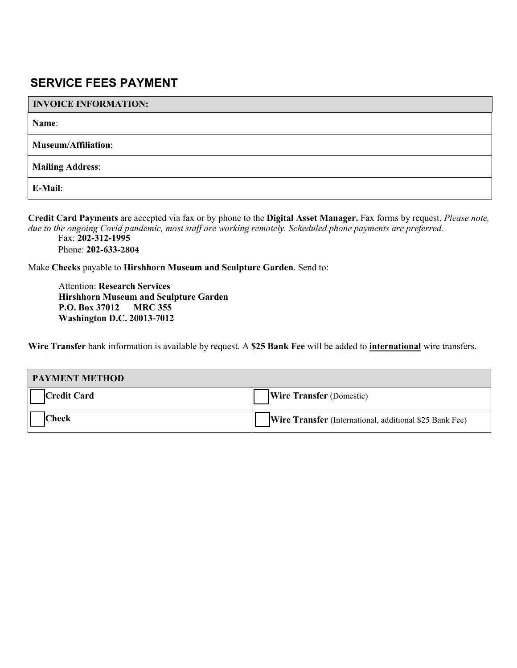## **SERVICE FEES PAYMENT**

## **INVOICE INFORMATION:**

**Name**:

**Museum/Affiliation**:

**Mailing Address**:

**E-Mail**:

**Credit Card Payments** are accepted via fax or by phone to the **Digital Asset Manager.** Fax forms by request. *Please note, due to the ongoing Covid pandemic, most staff are working remotely. Scheduled phone payments are preferred.* Fax: **202-312-1995**

Phone: **202-633-2804** 

Make **Checks** payable to **Hirshhorn Museum and Sculpture Garden**. Send to:

Attention: **Research Services Hirshhorn Museum and Sculpture Garden P.O. Box 37012 MRC 355 Washington D.C. 20013-7012**

**Wire Transfer** bank information is available by request. A **\$25 Bank Fee** will be added to **international** wire transfers.

| <b>PAYMENT METHOD</b> |                                                                |
|-----------------------|----------------------------------------------------------------|
| <b>Credit Card</b>    | <b>Wire Transfer</b> (Domestic)                                |
| <b>Check</b>          | <b>Wire Transfer</b> (International, additional \$25 Bank Fee) |